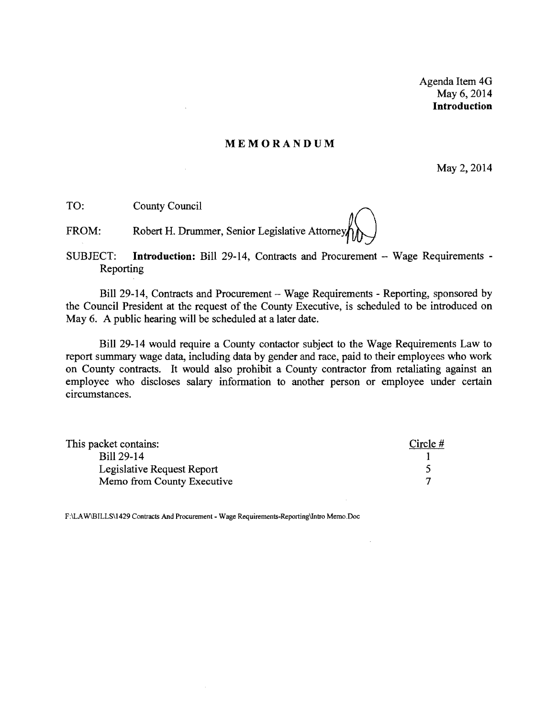Agenda Item 40 May 6,2014 **Introduction** 

#### **MEMORANDUM**

May 2, 2014

TO: County Council

FROM: Robert H. Drummer, Senior Legislative Attorney

SUBJECT: Introduction: Bill 29-14, Contracts and Procurement - Wage Requirements -Reporting

Bill 29-14, Contracts and Procurement - Wage Requirements - Reporting, sponsored by the Council President at the request of the County Executive, is scheduled to be introduced on May 6. A public hearing will be scheduled at a later date.

Bill 29-14 would require a County contactor subject to the Wage Requirements Law to report summary wage data, including data by gender and race, paid to their employees who work on County contracts. It would also prohibit a County contractor from retaliating against an employee who discloses salary information to another person or employee under certain circumstances.

| This packet contains:      | Circle $#$ |
|----------------------------|------------|
| Bill 29-14                 |            |
| Legislative Request Report |            |
| Memo from County Executive |            |

F:\LAW\BILLS\1429 Contracts And Procurement - Wage Requirements-Reporting\Intro Memo.Doc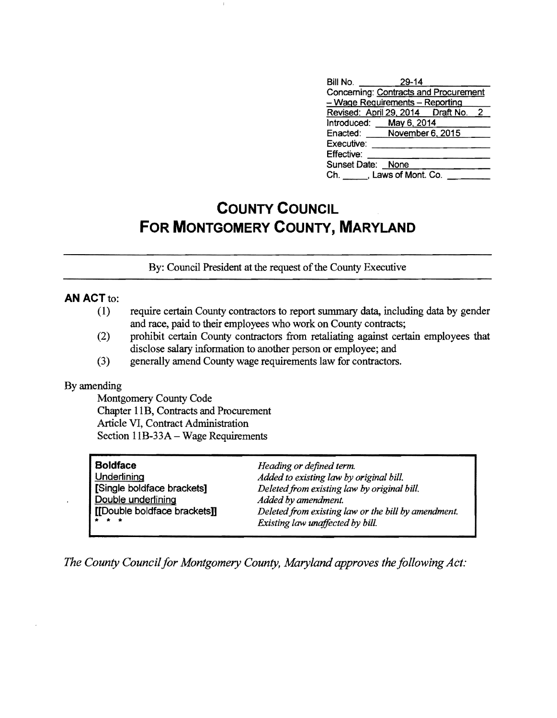| Bill No.                              | $29 - 14$ |  |
|---------------------------------------|-----------|--|
| Concerning: Contracts and Procurement |           |  |
| - Wage Requirements - Reporting       |           |  |
| Revised: April 29, 2014  Draft No. 2  |           |  |
| Introduced: May 6, 2014               |           |  |
| Enacted: November 6, 2015             |           |  |
| Executive:                            |           |  |
| Effective:                            |           |  |
| Sunset Date: None                     |           |  |
| Ch. Laws of Mont. Co.                 |           |  |

# **COUNTY COUNCIL FOR MONTGOMERY COUNTY, MARYLAND**

By: Council President at the request of the County Executive

# **AN** ACT to:

- (1) require certain County contractors to report summary data, including data by gender and race, paid to their employees who work on County contracts;
- (2) prohibit certain County contractors from retaliating against certain employees that disclose salary infonnation to another person or employee; and
- (3) generally amend County wage requirements law for contractors.

#### By amending

Montgomery County Code Chapter 11B, Contracts and Procurement Article VI, Contract Administration Section I1B-33A - Wage Requirements

| <b>Boldface</b>              | Heading or defined term.                            |
|------------------------------|-----------------------------------------------------|
| Underlining                  | Added to existing law by original bill.             |
| [Single boldface brackets]   | Deleted from existing law by original bill.         |
| Double underlining           | Added by amendment.                                 |
| [[Double boldface brackets]] | Deleted from existing law or the bill by amendment. |
| * * *                        | Existing law unaffected by bill.                    |

*The County Council for Montgomery County, Maryland approves the following Act:*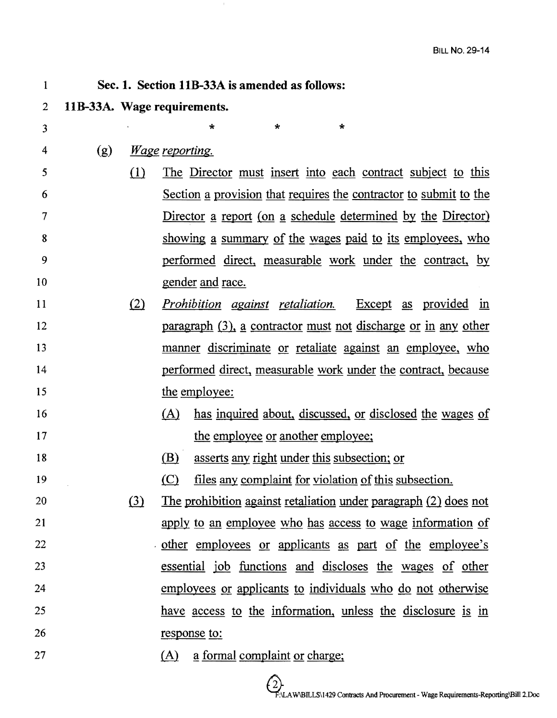| $\overline{2}$ |     |     | 11B-33A. Wage requirements.                                       |
|----------------|-----|-----|-------------------------------------------------------------------|
| 3              |     |     | $\star$<br>$\star$                                                |
| 4              | (g) |     | <i>Wage reporting.</i>                                            |
| 5              |     | (1) | The Director must insert into each contract subject to this       |
| 6              |     |     | Section a provision that requires the contractor to submit to the |
| 7              |     |     | Director a report (on a schedule determined by the Director)      |
| 8              |     |     | showing a summary of the wages paid to its employees, who         |
| 9              |     |     | performed direct, measurable work under the contract, by          |
| 10             |     |     | <u>gender</u> and race.                                           |
| 11             |     | (2) | <i>Prohibition against retaliation.</i><br>Except as provided in  |
| 12             |     |     | paragraph (3), a contractor must not discharge or in any other    |
| 13             |     |     | manner discriminate or retaliate against an employee, who         |
| 14             |     |     | performed direct, measurable work under the contract, because     |
| 15             |     |     | the employee:                                                     |
| 16             |     |     | has inquired about, discussed, or disclosed the wages of<br>(A)   |
| 17             |     |     | the employee or another employee;                                 |
| 18             |     |     | asserts any right under this subsection; or<br>(B)                |
| 19             |     |     | (C)<br>files any complaint for violation of this subsection.      |
| 20             |     | (3) | The prohibition against retaliation under paragraph (2) does not  |
| 21             |     |     | apply to an employee who has access to wage information of        |
| 22             |     |     | other employees or applicants as part of the employee's           |
| 23             |     |     | essential job functions and discloses the wages of other          |
| 24             |     |     | employees or applicants to individuals who do not otherwise       |
| 25             |     |     | have access to the information, unless the disclosure is in       |
| 26             |     |     | response to:                                                      |
| 27             |     |     | a formal complaint or charge;<br>(A)                              |

Sec. 1. Section IlB-33A is amended as follows:

1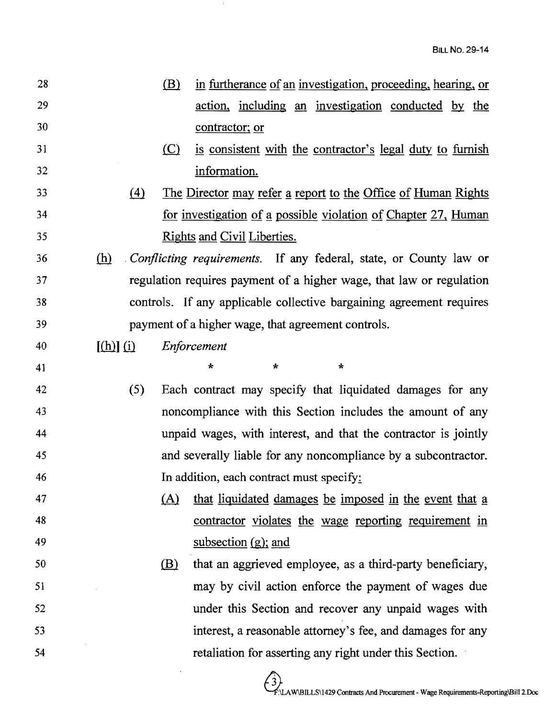| 28 |               | (B) | in furtherance of an investigation, proceeding, hearing, or              |
|----|---------------|-----|--------------------------------------------------------------------------|
| 29 |               |     | action, including an investigation conducted by the                      |
| 30 |               |     | contractor; or                                                           |
| 31 |               | (C) | is consistent with the contractor's legal duty to furnish                |
| 32 |               |     | information.                                                             |
| 33 | (4)           |     | The Director may refer a report to the Office of Human Rights            |
| 34 |               |     | for investigation of a possible violation of Chapter 27, Human           |
| 35 |               |     | <b>Rights and Civil Liberties.</b>                                       |
| 36 | (h)           |     | <i>Conflicting requirements.</i> If any federal, state, or County law or |
| 37 |               |     | regulation requires payment of a higher wage, that law or regulation     |
| 38 |               |     | controls. If any applicable collective bargaining agreement requires     |
| 39 |               |     | payment of a higher wage, that agreement controls.                       |
| 40 | $[(h)]$ $(i)$ |     | Enforcement                                                              |
| 41 |               |     | $\star$<br>$\star$<br>$\star$                                            |
| 42 | (5)           |     | Each contract may specify that liquidated damages for any                |
| 43 |               |     | noncompliance with this Section includes the amount of any               |
| 44 |               |     | unpaid wages, with interest, and that the contractor is jointly          |
| 45 |               |     | and severally liable for any noncompliance by a subcontractor.           |
| 46 |               |     | In addition, each contract must specify:                                 |
| 47 |               | (A) | that liquidated damages be imposed in the event that a                   |
| 48 |               |     | contractor violates the wage reporting requirement in                    |
| 49 |               |     | subsection $(g)$ ; and                                                   |
| 50 |               | (B) | that an aggrieved employee, as a third-party beneficiary,                |
| 51 |               |     | may by civil action enforce the payment of wages due                     |
| 52 |               |     | under this Section and recover any unpaid wages with                     |
| 53 |               |     | interest, a reasonable attorney's fee, and damages for any               |
| 54 |               |     | retaliation for asserting any right under this Section.                  |
|    |               |     |                                                                          |

 $\pm$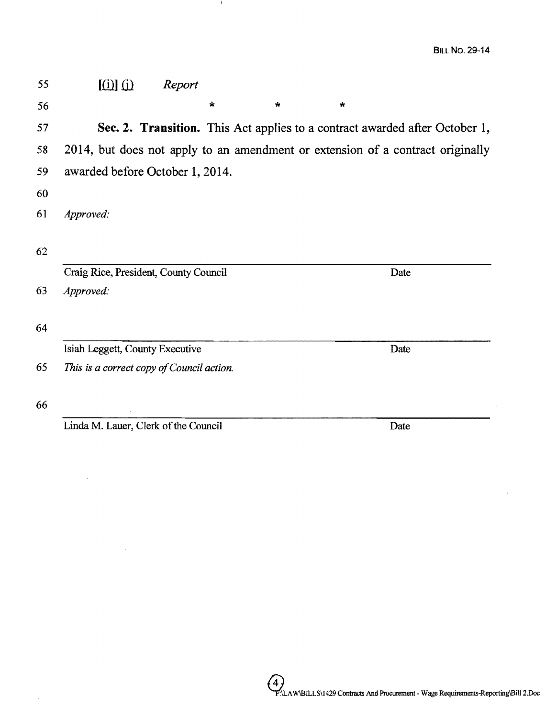$\overline{1}$ 

| 55 | $\left[\begin{matrix}\dot{\mathbf{u}}\end{matrix}\right]\left[\begin{matrix}\dot{\mathbf{u}}\end{matrix}\right]$ | Report |         |         |              |                                                                             |  |
|----|------------------------------------------------------------------------------------------------------------------|--------|---------|---------|--------------|-----------------------------------------------------------------------------|--|
| 56 |                                                                                                                  |        | $\star$ | $\star$ | $\mathbf{r}$ |                                                                             |  |
| 57 |                                                                                                                  |        |         |         |              | Sec. 2. Transition. This Act applies to a contract awarded after October 1, |  |
| 58 | 2014, but does not apply to an amendment or extension of a contract originally                                   |        |         |         |              |                                                                             |  |
| 59 | awarded before October 1, 2014.                                                                                  |        |         |         |              |                                                                             |  |
| 60 |                                                                                                                  |        |         |         |              |                                                                             |  |
| 61 | Approved:                                                                                                        |        |         |         |              |                                                                             |  |
| 62 |                                                                                                                  |        |         |         |              |                                                                             |  |
|    | Craig Rice, President, County Council                                                                            |        |         |         |              | Date                                                                        |  |
| 63 | Approved:                                                                                                        |        |         |         |              |                                                                             |  |
| 64 |                                                                                                                  |        |         |         |              |                                                                             |  |
|    | Isiah Leggett, County Executive                                                                                  |        |         |         |              | Date                                                                        |  |
| 65 | This is a correct copy of Council action.                                                                        |        |         |         |              |                                                                             |  |
| 66 |                                                                                                                  |        |         |         |              |                                                                             |  |

 $\mathbf{1}$ 

Linda M. Lauer, Clerk of the Council Date

 $\mathcal{L}^{\text{max}}_{\text{max}}$  and

 $\sim 10^{-1}$ 

 $\mathcal{A}^{\mathcal{A}}$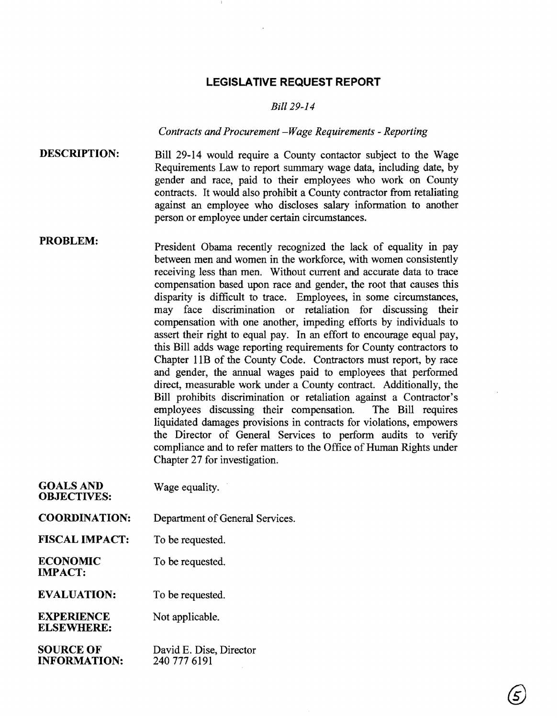# **LEGISLATIVE REQUEST REPORT**

#### *Bill 29-14*

## *Contracts and Procurement -Wage Requirements* - *Reporting*

DESCRIPTION: Bill 29-14 would require a County contactor subject to the Wage Requirements Law to report summary wage data, including date, by gender and race, paid to their employees who work on County contracts. It would also prohibit a County contractor from retaliating against an employee who discloses salary information to another person or employee under certain circumstances.

PROBLEM: President Obama recently recognized the lack of equality in pay between men and women in the workforce, with women consistently receiving less than men. Without current and accurate data to trace compensation based upon race and gender, the root that causes this disparity is difficult to trace. Employees, in some circumstances, may face discrimination or retaliation for discussing their compensation with one another, impeding efforts by individuals to assert their right to equal pay. In an effort to encourage equal pay, this Bill adds wage reporting requirements for County contractors to Chapter lIB of the County Code. Contractors must report, by race and gender, the annual wages paid to employees that performed direct, measurable work under a County contract. Additionally, the Bill prohibits discrimination or retaliation against a Contractor's employees discussing their compensation. The Bill requires liquidated damages provisions in contracts for violations, empowers the Director of General Services to perform audits to verify compliance and to refer matters to the Office of Human Rights under Chapter 27 for investigation.

| <b>GOALS AND</b><br><b>OBJECTIVES:</b>  | Wage equality.                          |
|-----------------------------------------|-----------------------------------------|
| <b>COORDINATION:</b>                    | Department of General Services.         |
| <b>FISCAL IMPACT:</b>                   | To be requested.                        |
| <b>ECONOMIC</b><br><b>IMPACT:</b>       | To be requested.                        |
| <b>EVALUATION:</b>                      | To be requested.                        |
| <b>EXPERIENCE</b><br><b>ELSEWHERE:</b>  | Not applicable.                         |
| <b>SOURCE OF</b><br><b>INFORMATION:</b> | David E. Dise, Director<br>240 777 6191 |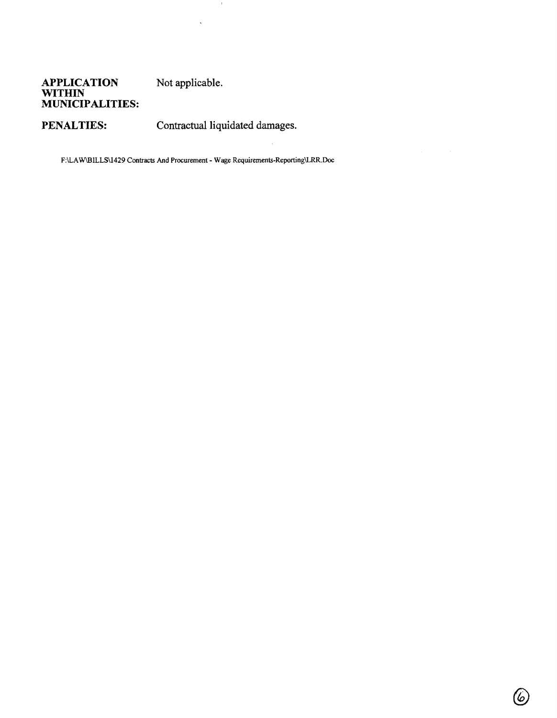## **APPLICATION** Not applicable. **WITHIN MUNICIPALITIES:**

PENALTIES: Contractual liquidated damages.

F:\LAW\BILLS\1429 Contracts And Procurement - Wage Requirements-Reporting\LRR.Doc

 $\sim 10$